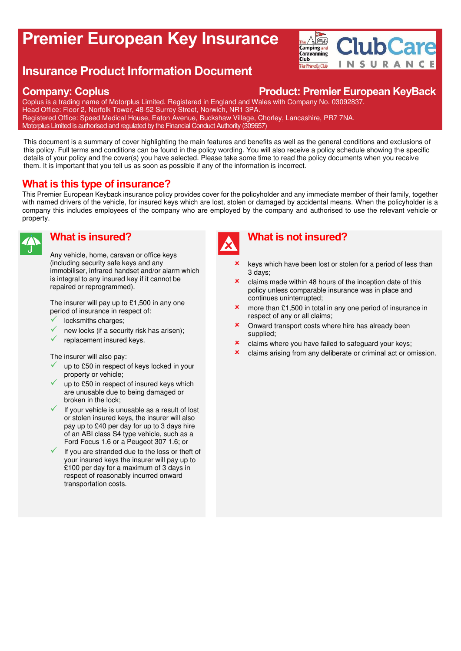# **Premier European Key Insurance**

## **Insurance Product Information Document**

#### **Company: Coplus Product: Premier European KeyBack**

**ClubCare** 

**INSURANCE** 

 $\overline{\mathbf{H}}$ 

Camping and Caravanning Club<sup>"</sup>

The Friendly Club

Coplus is a trading name of Motorplus Limited. Registered in England and Wales with Company No. 03092837. Head Office: Floor 2, Norfolk Tower, 48-52 Surrey Street, Norwich, NR1 3PA. Registered Office: Speed Medical House, Eaton Avenue, Buckshaw Village, Chorley, Lancashire, PR7 7NA. Motorplus Limited is authorised and regulated by the Financial Conduct Authority (309657)

This document is a summary of cover highlighting the main features and benefits as well as the general conditions and exclusions of this policy. Full terms and conditions can be found in the policy wording. You will also receive a policy schedule showing the specific details of your policy and the cover(s) you have selected. Please take some time to read the policy documents when you receive them. It is important that you tell us as soon as possible if any of the information is incorrect.

### **What is this type of insurance?**

This Premier European Keyback insurance policy provides cover for the policyholder and any immediate member of their family, together with named drivers of the vehicle, for insured keys which are lost, stolen or damaged by accidental means. When the policyholder is a company this includes employees of the company who are employed by the company and authorised to use the relevant vehicle or property.



#### **What is insured?**

Any vehicle, home, caravan or office keys (including security safe keys and any immobiliser, infrared handset and/or alarm which is integral to any insured key if it cannot be repaired or reprogrammed).

The insurer will pay up to £1,500 in any one period of insurance in respect of:

- locksmiths charges:
- new locks (if a security risk has arisen);
- replacement insured keys.

The insurer will also pay:

- up to £50 in respect of keys locked in your property or vehicle;
- up to £50 in respect of insured keys which are unusable due to being damaged or broken in the lock;
- $\checkmark$  If your vehicle is unusable as a result of lost or stolen insured keys, the insurer will also pay up to £40 per day for up to 3 days hire of an ABI class S4 type vehicle, such as a Ford Focus 1.6 or a Peugeot 307 1.6; or
- If you are stranded due to the loss or theft of your insured keys the insurer will pay up to £100 per day for a maximum of 3 days in respect of reasonably incurred onward transportation costs.



#### **What is not insured?**

- keys which have been lost or stolen for a period of less than 3 days;
- claims made within 48 hours of the inception date of this policy unless comparable insurance was in place and continues uninterrupted;
- more than £1,500 in total in any one period of insurance in respect of any or all claims;
- **x** Onward transport costs where hire has already been supplied;
- **x** claims where you have failed to safeguard your keys;
- **x** claims arising from any deliberate or criminal act or omission.